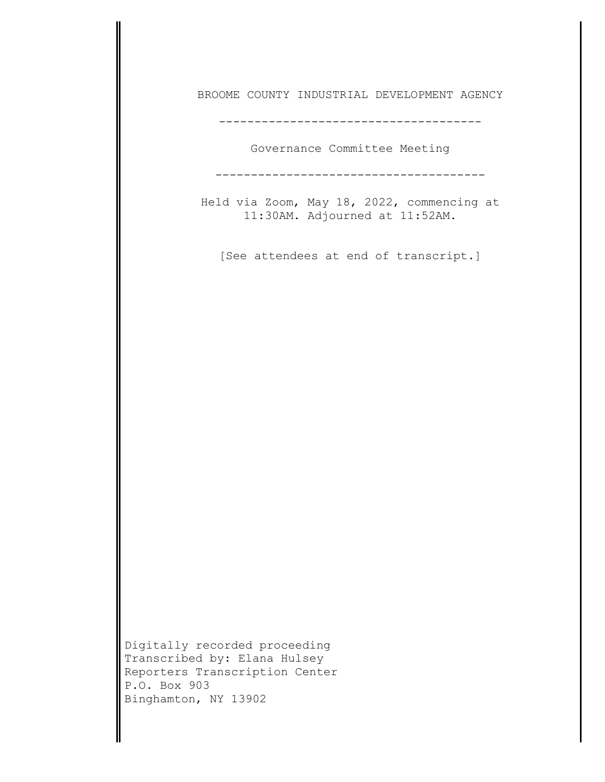BROOME COUNTY INDUSTRIAL DEVELOPMENT AGENCY

-------------------------------------

Governance Committee Meeting

--------------------------------------

Held via Zoom, May 18, 2022, commencing at 11:30AM. Adjourned at 11:52AM.

[See attendees at end of transcript.]

Digitally recorded proceeding Transcribed by: Elana Hulsey Reporters Transcription Center P.O. Box 903 Binghamton, NY 13902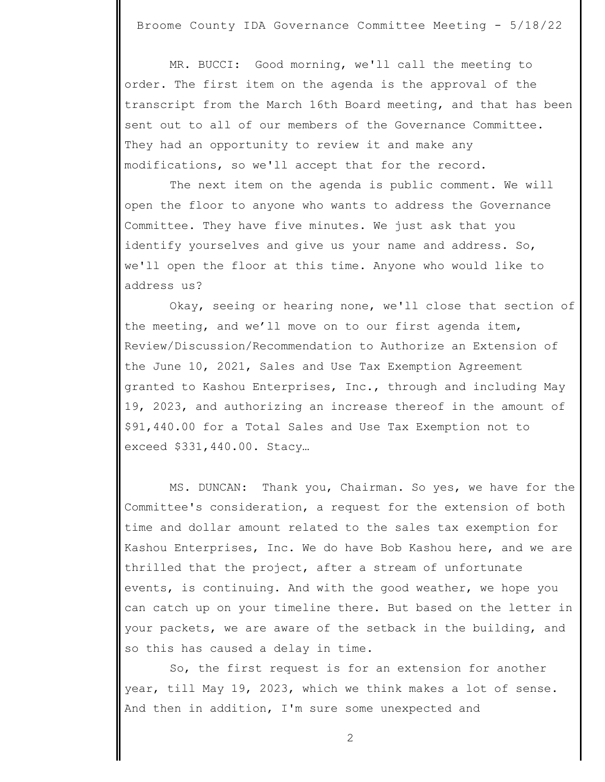MR. BUCCI: Good morning, we'll call the meeting to order. The first item on the agenda is the approval of the transcript from the March 16th Board meeting, and that has been sent out to all of our members of the Governance Committee. They had an opportunity to review it and make any modifications, so we'll accept that for the record.

The next item on the agenda is public comment. We will open the floor to anyone who wants to address the Governance Committee. They have five minutes. We just ask that you identify yourselves and give us your name and address. So, we'll open the floor at this time. Anyone who would like to address us?

Okay, seeing or hearing none, we'll close that section of the meeting, and we'll move on to our first agenda item, Review/Discussion/Recommendation to Authorize an Extension of the June 10, 2021, Sales and Use Tax Exemption Agreement granted to Kashou Enterprises, Inc., through and including May 19, 2023, and authorizing an increase thereof in the amount of \$91,440.00 for a Total Sales and Use Tax Exemption not to exceed \$331,440.00. Stacy…

MS. DUNCAN: Thank you, Chairman. So yes, we have for the Committee's consideration, a request for the extension of both time and dollar amount related to the sales tax exemption for Kashou Enterprises, Inc. We do have Bob Kashou here, and we are thrilled that the project, after a stream of unfortunate events, is continuing. And with the good weather, we hope you can catch up on your timeline there. But based on the letter in your packets, we are aware of the setback in the building, and so this has caused a delay in time.

So, the first request is for an extension for another year, till May 19, 2023, which we think makes a lot of sense. And then in addition, I'm sure some unexpected and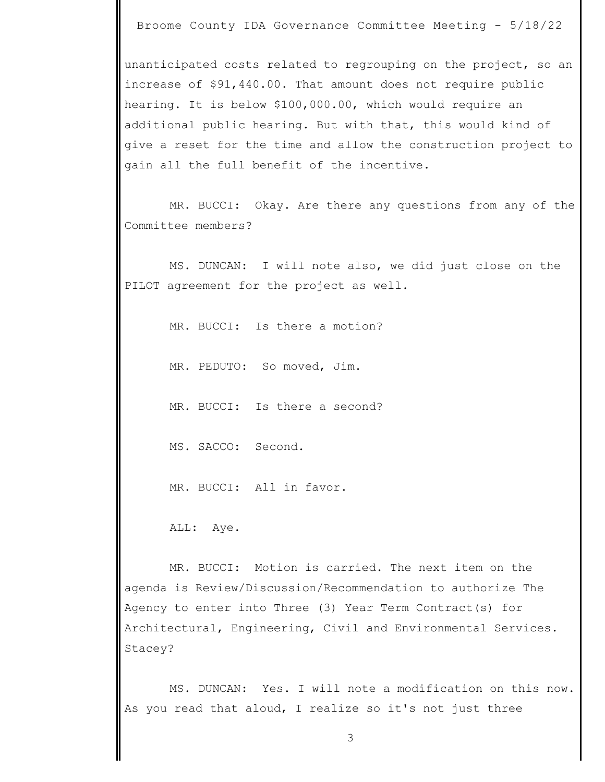unanticipated costs related to regrouping on the project, so an increase of \$91,440.00. That amount does not require public hearing. It is below \$100,000.00, which would require an additional public hearing. But with that, this would kind of give a reset for the time and allow the construction project to gain all the full benefit of the incentive.

MR. BUCCI: Okay. Are there any questions from any of the Committee members?

MS. DUNCAN: I will note also, we did just close on the PILOT agreement for the project as well.

MR. BUCCI: Is there a motion?

MR. PEDUTO: So moved, Jim.

MR. BUCCI: Is there a second?

MS. SACCO: Second.

MR. BUCCI: All in favor.

ALL: Aye.

MR. BUCCI: Motion is carried. The next item on the agenda is Review/Discussion/Recommendation to authorize The Agency to enter into Three (3) Year Term Contract(s) for Architectural, Engineering, Civil and Environmental Services. Stacey?

MS. DUNCAN: Yes. I will note a modification on this now. As you read that aloud, I realize so it's not just three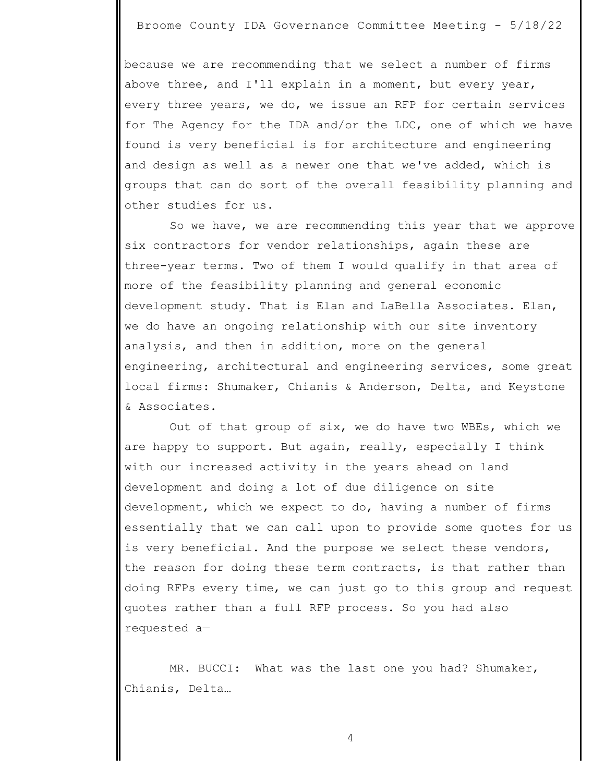because we are recommending that we select a number of firms above three, and I'll explain in a moment, but every year, every three years, we do, we issue an RFP for certain services for The Agency for the IDA and/or the LDC, one of which we have found is very beneficial is for architecture and engineering and design as well as a newer one that we've added, which is groups that can do sort of the overall feasibility planning and other studies for us.

So we have, we are recommending this year that we approve six contractors for vendor relationships, again these are three-year terms. Two of them I would qualify in that area of more of the feasibility planning and general economic development study. That is Elan and LaBella Associates. Elan, we do have an ongoing relationship with our site inventory analysis, and then in addition, more on the general engineering, architectural and engineering services, some great local firms: Shumaker, Chianis & Anderson, Delta, and Keystone & Associates.

Out of that group of six, we do have two WBEs, which we are happy to support. But again, really, especially I think with our increased activity in the years ahead on land development and doing a lot of due diligence on site development, which we expect to do, having a number of firms essentially that we can call upon to provide some quotes for us is very beneficial. And the purpose we select these vendors, the reason for doing these term contracts, is that rather than doing RFPs every time, we can just go to this group and request quotes rather than a full RFP process. So you had also requested a—

MR. BUCCI: What was the last one you had? Shumaker, Chianis, Delta…

4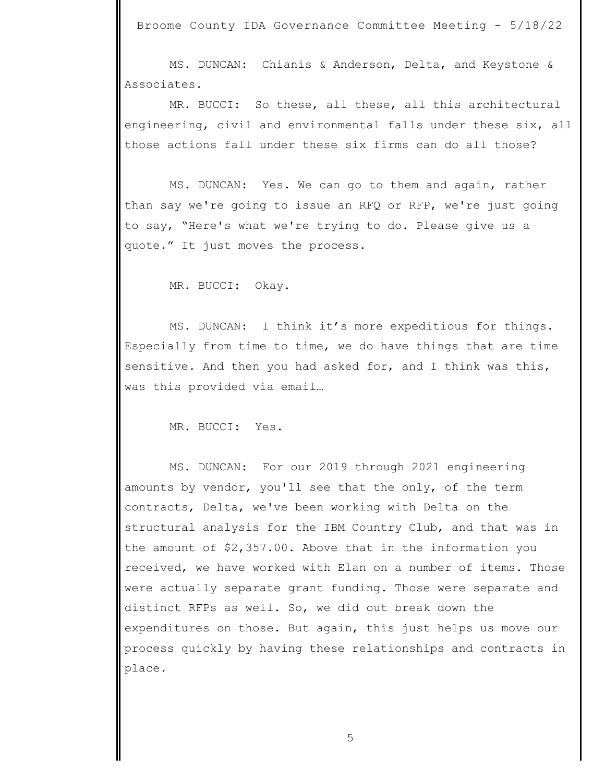MS. DUNCAN: Chianis & Anderson, Delta, and Keystone & Associates.

MR. BUCCI: So these, all these, all this architectural engineering, civil and environmental falls under these six, all those actions fall under these six firms can do all those?

MS. DUNCAN: Yes. We can go to them and again, rather than say we're going to issue an RFQ or RFP, we're just going to say, "Here's what we're trying to do. Please give us a quote." It just moves the process.

MR. BUCCI: Okay.

MS. DUNCAN: I think it's more expeditious for things. Especially from time to time, we do have things that are time sensitive. And then you had asked for, and I think was this, was this provided via email…

MR. BUCCI: Yes.

MS. DUNCAN: For our 2019 through 2021 engineering amounts by vendor, you'll see that the only, of the term contracts, Delta, we've been working with Delta on the structural analysis for the IBM Country Club, and that was in the amount of \$2,357.00. Above that in the information you received, we have worked with Elan on a number of items. Those were actually separate grant funding. Those were separate and distinct RFPs as well. So, we did out break down the expenditures on those. But again, this just helps us move our process quickly by having these relationships and contracts in place.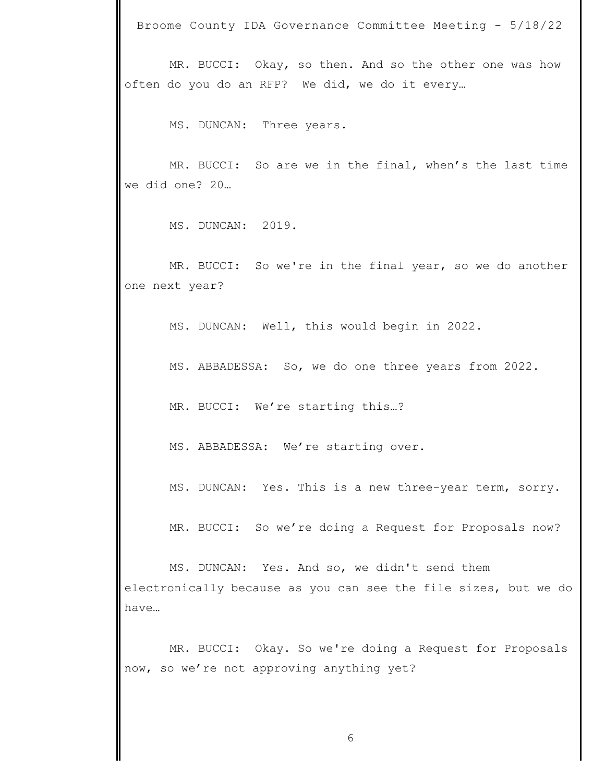MR. BUCCI: Okay, so then. And so the other one was how often do you do an RFP? We did, we do it every…

MS. DUNCAN: Three years.

MR. BUCCI: So are we in the final, when's the last time we did one? 20…

MS. DUNCAN: 2019.

MR. BUCCI: So we're in the final year, so we do another one next year?

MS. DUNCAN: Well, this would begin in 2022.

MS. ABBADESSA: So, we do one three years from 2022.

MR. BUCCI: We're starting this…?

MS. ABBADESSA: We're starting over.

MS. DUNCAN: Yes. This is a new three-year term, sorry.

MR. BUCCI: So we're doing a Request for Proposals now?

MS. DUNCAN: Yes. And so, we didn't send them electronically because as you can see the file sizes, but we do have…

MR. BUCCI: Okay. So we're doing a Request for Proposals now, so we're not approving anything yet?

6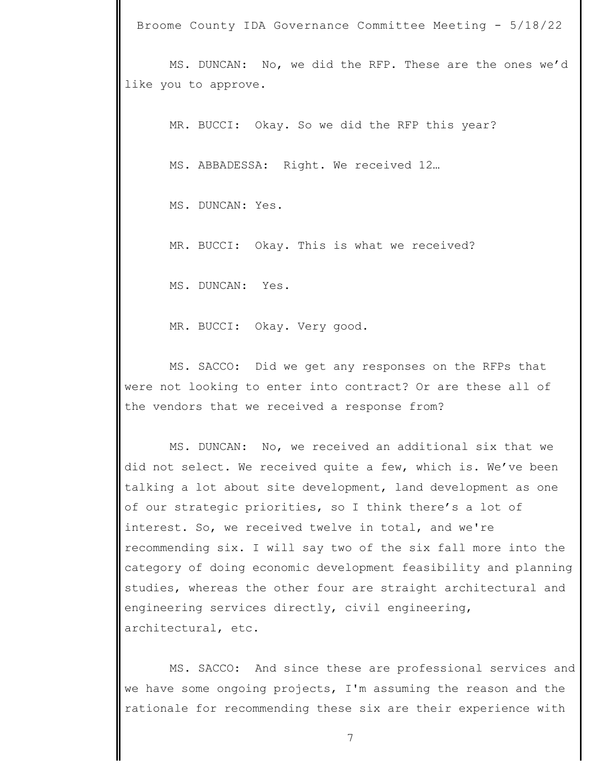MS. DUNCAN: No, we did the RFP. These are the ones we'd like you to approve.

MR. BUCCI: Okay. So we did the RFP this year?

MS. ABBADESSA: Right. We received 12…

MS. DUNCAN: Yes.

MR. BUCCI: Okay. This is what we received?

MS. DUNCAN: Yes.

MR. BUCCI: Okay. Very good.

MS. SACCO: Did we get any responses on the RFPs that were not looking to enter into contract? Or are these all of the vendors that we received a response from?

MS. DUNCAN: No, we received an additional six that we did not select. We received quite a few, which is. We've been talking a lot about site development, land development as one of our strategic priorities, so I think there's a lot of interest. So, we received twelve in total, and we're recommending six. I will say two of the six fall more into the category of doing economic development feasibility and planning studies, whereas the other four are straight architectural and engineering services directly, civil engineering, architectural, etc.

MS. SACCO: And since these are professional services and we have some ongoing projects, I'm assuming the reason and the rationale for recommending these six are their experience with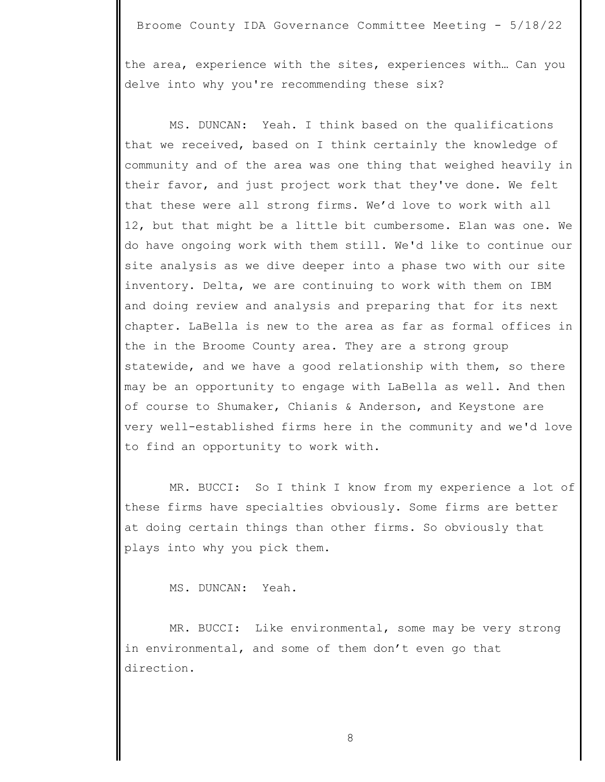the area, experience with the sites, experiences with… Can you delve into why you're recommending these six?

MS. DUNCAN: Yeah. I think based on the qualifications that we received, based on I think certainly the knowledge of community and of the area was one thing that weighed heavily in their favor, and just project work that they've done. We felt that these were all strong firms. We'd love to work with all 12, but that might be a little bit cumbersome. Elan was one. We do have ongoing work with them still. We'd like to continue our site analysis as we dive deeper into a phase two with our site inventory. Delta, we are continuing to work with them on IBM and doing review and analysis and preparing that for its next chapter. LaBella is new to the area as far as formal offices in the in the Broome County area. They are a strong group statewide, and we have a good relationship with them, so there may be an opportunity to engage with LaBella as well. And then of course to Shumaker, Chianis & Anderson, and Keystone are very well-established firms here in the community and we'd love to find an opportunity to work with.

MR. BUCCI: So I think I know from my experience a lot of these firms have specialties obviously. Some firms are better at doing certain things than other firms. So obviously that plays into why you pick them.

MS. DUNCAN: Yeah.

MR. BUCCI: Like environmental, some may be very strong in environmental, and some of them don't even go that direction.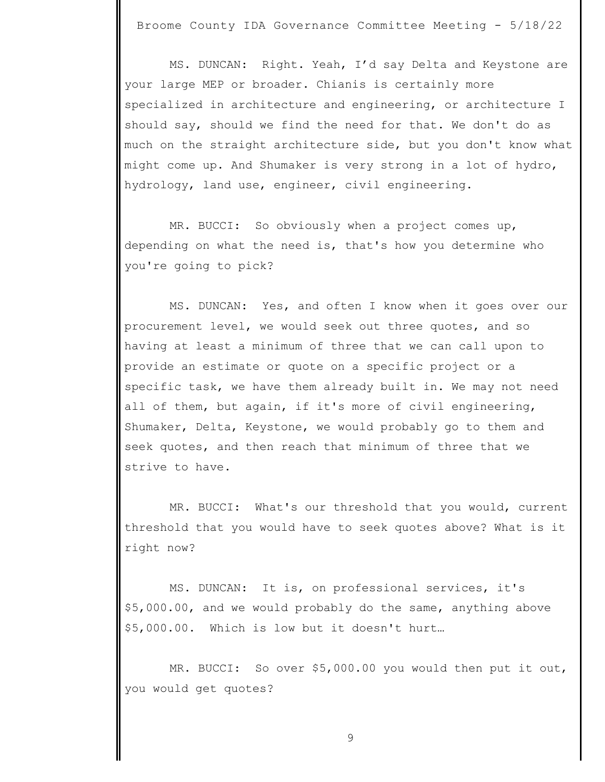MS. DUNCAN: Right. Yeah, I'd say Delta and Keystone are your large MEP or broader. Chianis is certainly more specialized in architecture and engineering, or architecture I should say, should we find the need for that. We don't do as much on the straight architecture side, but you don't know what might come up. And Shumaker is very strong in a lot of hydro, hydrology, land use, engineer, civil engineering.

MR. BUCCI: So obviously when a project comes up, depending on what the need is, that's how you determine who you're going to pick?

MS. DUNCAN: Yes, and often I know when it goes over our procurement level, we would seek out three quotes, and so having at least a minimum of three that we can call upon to provide an estimate or quote on a specific project or a specific task, we have them already built in. We may not need all of them, but again, if it's more of civil engineering, Shumaker, Delta, Keystone, we would probably go to them and seek quotes, and then reach that minimum of three that we strive to have.

MR. BUCCI: What's our threshold that you would, current threshold that you would have to seek quotes above? What is it right now?

MS. DUNCAN: It is, on professional services, it's \$5,000.00, and we would probably do the same, anything above \$5,000.00. Which is low but it doesn't hurt…

MR. BUCCI: So over \$5,000.00 you would then put it out, you would get quotes?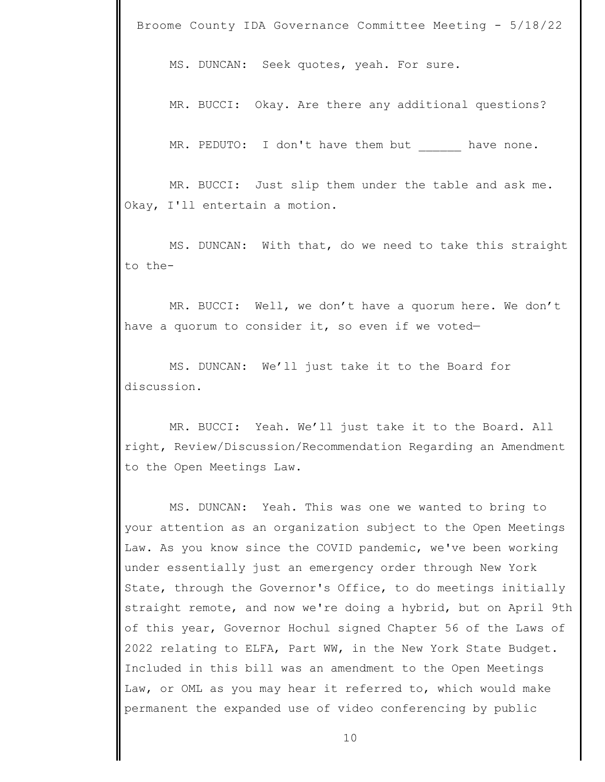MS. DUNCAN: Seek quotes, yeah. For sure.

MR. BUCCI: Okay. Are there any additional questions?

MR. PEDUTO: I don't have them but have none.

MR. BUCCI: Just slip them under the table and ask me. Okay, I'll entertain a motion.

MS. DUNCAN: With that, do we need to take this straight to the-

MR. BUCCI: Well, we don't have a quorum here. We don't have a quorum to consider it, so even if we voted-

MS. DUNCAN: We'll just take it to the Board for discussion.

MR. BUCCI: Yeah. We'll just take it to the Board. All right, Review/Discussion/Recommendation Regarding an Amendment to the Open Meetings Law.

MS. DUNCAN: Yeah. This was one we wanted to bring to your attention as an organization subject to the Open Meetings Law. As you know since the COVID pandemic, we've been working under essentially just an emergency order through New York State, through the Governor's Office, to do meetings initially straight remote, and now we're doing a hybrid, but on April 9th of this year, Governor Hochul signed Chapter 56 of the Laws of 2022 relating to ELFA, Part WW, in the New York State Budget. Included in this bill was an amendment to the Open Meetings Law, or OML as you may hear it referred to, which would make permanent the expanded use of video conferencing by public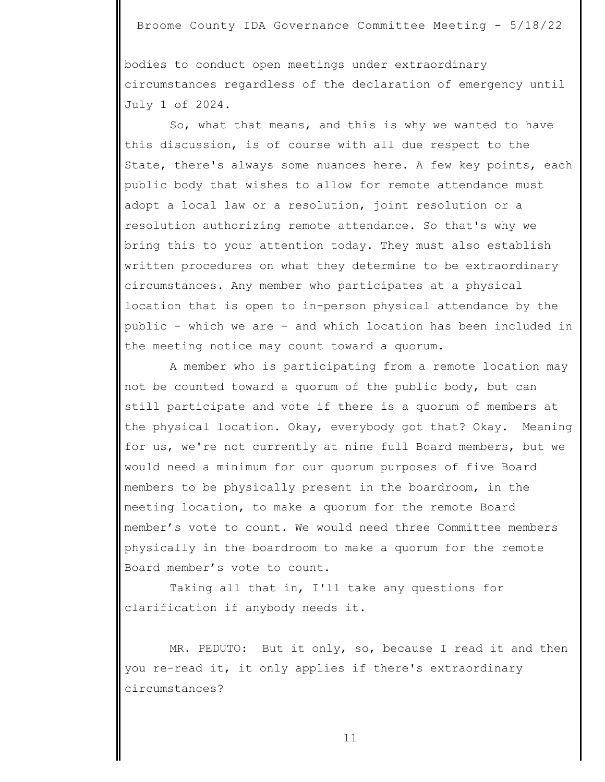bodies to conduct open meetings under extraordinary circumstances regardless of the declaration of emergency until July 1 of 2024.

So, what that means, and this is why we wanted to have this discussion, is of course with all due respect to the State, there's always some nuances here. A few key points, each public body that wishes to allow for remote attendance must adopt a local law or a resolution, joint resolution or a resolution authorizing remote attendance. So that's why we bring this to your attention today. They must also establish written procedures on what they determine to be extraordinary circumstances. Any member who participates at a physical location that is open to in-person physical attendance by the public - which we are - and which location has been included in the meeting notice may count toward a quorum.

A member who is participating from a remote location may not be counted toward a quorum of the public body, but can still participate and vote if there is a quorum of members at the physical location. Okay, everybody got that? Okay. Meaning for us, we're not currently at nine full Board members, but we would need a minimum for our quorum purposes of five Board members to be physically present in the boardroom, in the meeting location, to make a quorum for the remote Board member's vote to count. We would need three Committee members physically in the boardroom to make a quorum for the remote Board member's vote to count.

Taking all that in, I'll take any questions for clarification if anybody needs it.

MR. PEDUTO: But it only, so, because I read it and then you re-read it, it only applies if there's extraordinary circumstances?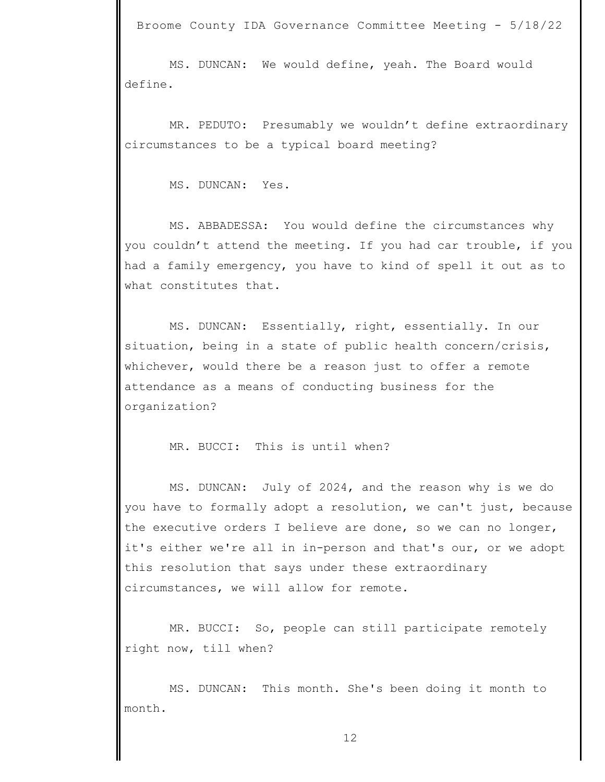MS. DUNCAN: We would define, yeah. The Board would define.

MR. PEDUTO: Presumably we wouldn't define extraordinary circumstances to be a typical board meeting?

MS. DUNCAN: Yes.

MS. ABBADESSA: You would define the circumstances why you couldn't attend the meeting. If you had car trouble, if you had a family emergency, you have to kind of spell it out as to what constitutes that.

MS. DUNCAN: Essentially, right, essentially. In our situation, being in a state of public health concern/crisis, whichever, would there be a reason just to offer a remote attendance as a means of conducting business for the organization?

MR. BUCCI: This is until when?

MS. DUNCAN: July of 2024, and the reason why is we do you have to formally adopt a resolution, we can't just, because the executive orders I believe are done, so we can no longer, it's either we're all in in-person and that's our, or we adopt this resolution that says under these extraordinary circumstances, we will allow for remote.

MR. BUCCI: So, people can still participate remotely right now, till when?

MS. DUNCAN: This month. She's been doing it month to month.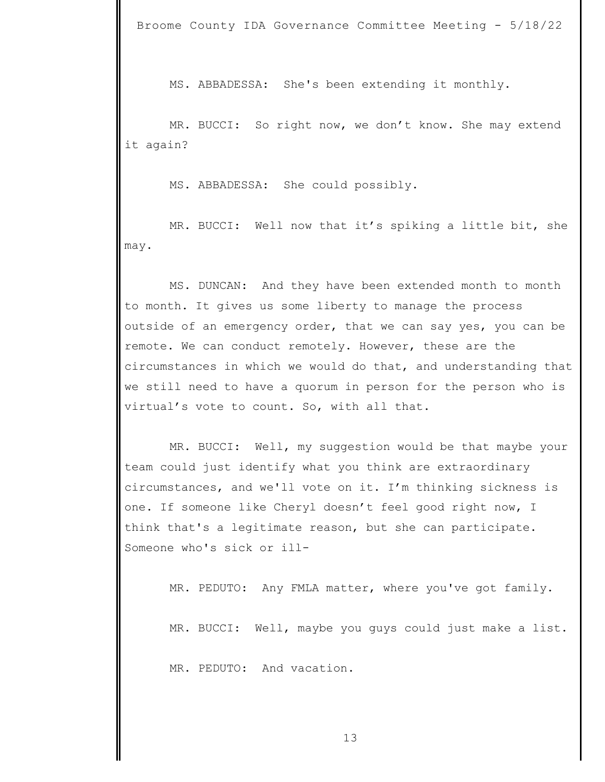MS. ABBADESSA: She's been extending it monthly.

MR. BUCCI: So right now, we don't know. She may extend it again?

MS. ABBADESSA: She could possibly.

MR. BUCCI: Well now that it's spiking a little bit, she may.

MS. DUNCAN: And they have been extended month to month to month. It gives us some liberty to manage the process outside of an emergency order, that we can say yes, you can be remote. We can conduct remotely. However, these are the circumstances in which we would do that, and understanding that we still need to have a quorum in person for the person who is virtual's vote to count. So, with all that.

MR. BUCCI: Well, my suggestion would be that maybe your team could just identify what you think are extraordinary circumstances, and we'll vote on it. I'm thinking sickness is one. If someone like Cheryl doesn't feel good right now, I think that's a legitimate reason, but she can participate. Someone who's sick or ill-

MR. PEDUTO: Any FMLA matter, where you've got family.

MR. BUCCI: Well, maybe you guys could just make a list.

MR. PEDUTO: And vacation.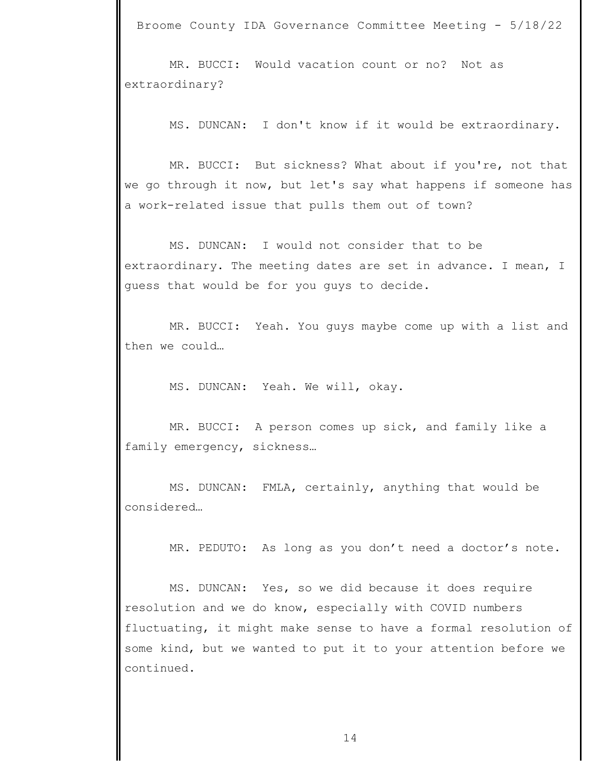MR. BUCCI: Would vacation count or no? Not as extraordinary?

MS. DUNCAN: I don't know if it would be extraordinary.

MR. BUCCI: But sickness? What about if you're, not that we go through it now, but let's say what happens if someone has a work-related issue that pulls them out of town?

MS. DUNCAN: I would not consider that to be extraordinary. The meeting dates are set in advance. I mean, I guess that would be for you guys to decide.

MR. BUCCI: Yeah. You guys maybe come up with a list and then we could…

MS. DUNCAN: Yeah. We will, okay.

MR. BUCCI: A person comes up sick, and family like a family emergency, sickness…

MS. DUNCAN: FMLA, certainly, anything that would be considered…

MR. PEDUTO: As long as you don't need a doctor's note.

MS. DUNCAN: Yes, so we did because it does require resolution and we do know, especially with COVID numbers fluctuating, it might make sense to have a formal resolution of some kind, but we wanted to put it to your attention before we continued.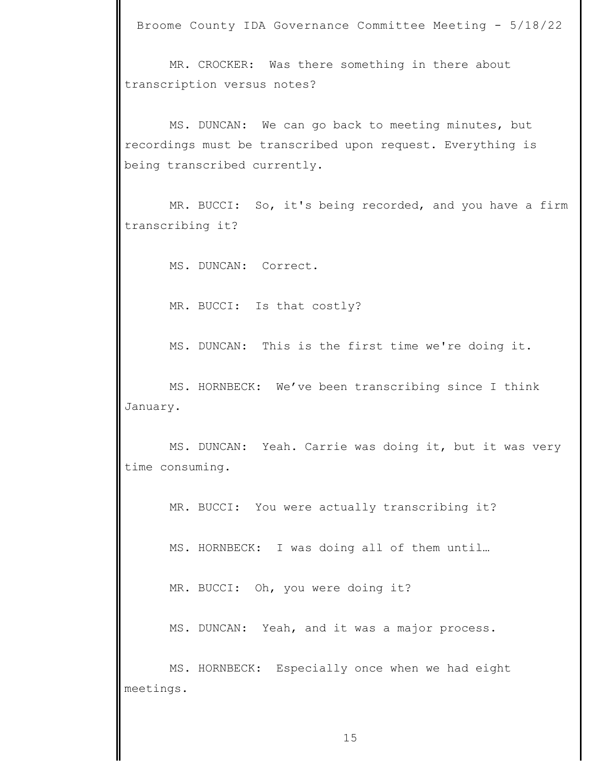MR. CROCKER: Was there something in there about transcription versus notes?

MS. DUNCAN: We can go back to meeting minutes, but recordings must be transcribed upon request. Everything is being transcribed currently.

MR. BUCCI: So, it's being recorded, and you have a firm transcribing it?

MS. DUNCAN: Correct.

MR. BUCCI: Is that costly?

MS. DUNCAN: This is the first time we're doing it.

MS. HORNBECK: We've been transcribing since I think January.

MS. DUNCAN: Yeah. Carrie was doing it, but it was very time consuming.

MR. BUCCI: You were actually transcribing it?

MS. HORNBECK: I was doing all of them until…

MR. BUCCI: Oh, you were doing it?

MS. DUNCAN: Yeah, and it was a major process.

MS. HORNBECK: Especially once when we had eight meetings.

15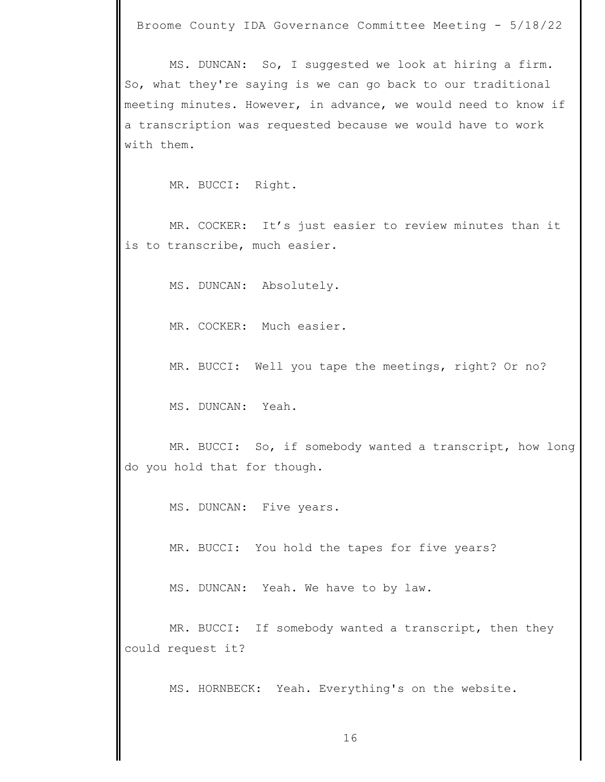MS. DUNCAN: So, I suggested we look at hiring a firm. So, what they're saying is we can go back to our traditional meeting minutes. However, in advance, we would need to know if a transcription was requested because we would have to work with them.

MR. BUCCI: Right.

MR. COCKER: It's just easier to review minutes than it is to transcribe, much easier.

MS. DUNCAN: Absolutely.

MR. COCKER: Much easier.

MR. BUCCI: Well you tape the meetings, right? Or no?

MS. DUNCAN: Yeah.

MR. BUCCI: So, if somebody wanted a transcript, how long do you hold that for though.

MS. DUNCAN: Five years.

MR. BUCCI: You hold the tapes for five years?

MS. DUNCAN: Yeah. We have to by law.

MR. BUCCI: If somebody wanted a transcript, then they could request it?

MS. HORNBECK: Yeah. Everything's on the website.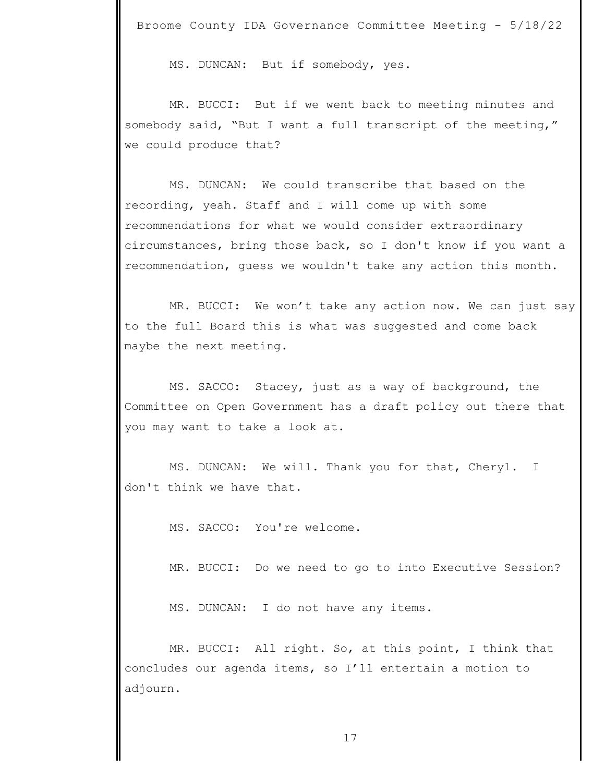MS. DUNCAN: But if somebody, yes.

MR. BUCCI: But if we went back to meeting minutes and somebody said, "But I want a full transcript of the meeting," we could produce that?

MS. DUNCAN: We could transcribe that based on the recording, yeah. Staff and I will come up with some recommendations for what we would consider extraordinary circumstances, bring those back, so I don't know if you want a recommendation, guess we wouldn't take any action this month.

MR. BUCCI: We won't take any action now. We can just say to the full Board this is what was suggested and come back maybe the next meeting.

MS. SACCO: Stacey, just as a way of background, the Committee on Open Government has a draft policy out there that you may want to take a look at.

MS. DUNCAN: We will. Thank you for that, Cheryl. I don't think we have that.

MS. SACCO: You're welcome.

MR. BUCCI: Do we need to go to into Executive Session?

MS. DUNCAN: I do not have any items.

MR. BUCCI: All right. So, at this point, I think that concludes our agenda items, so I'll entertain a motion to adjourn.